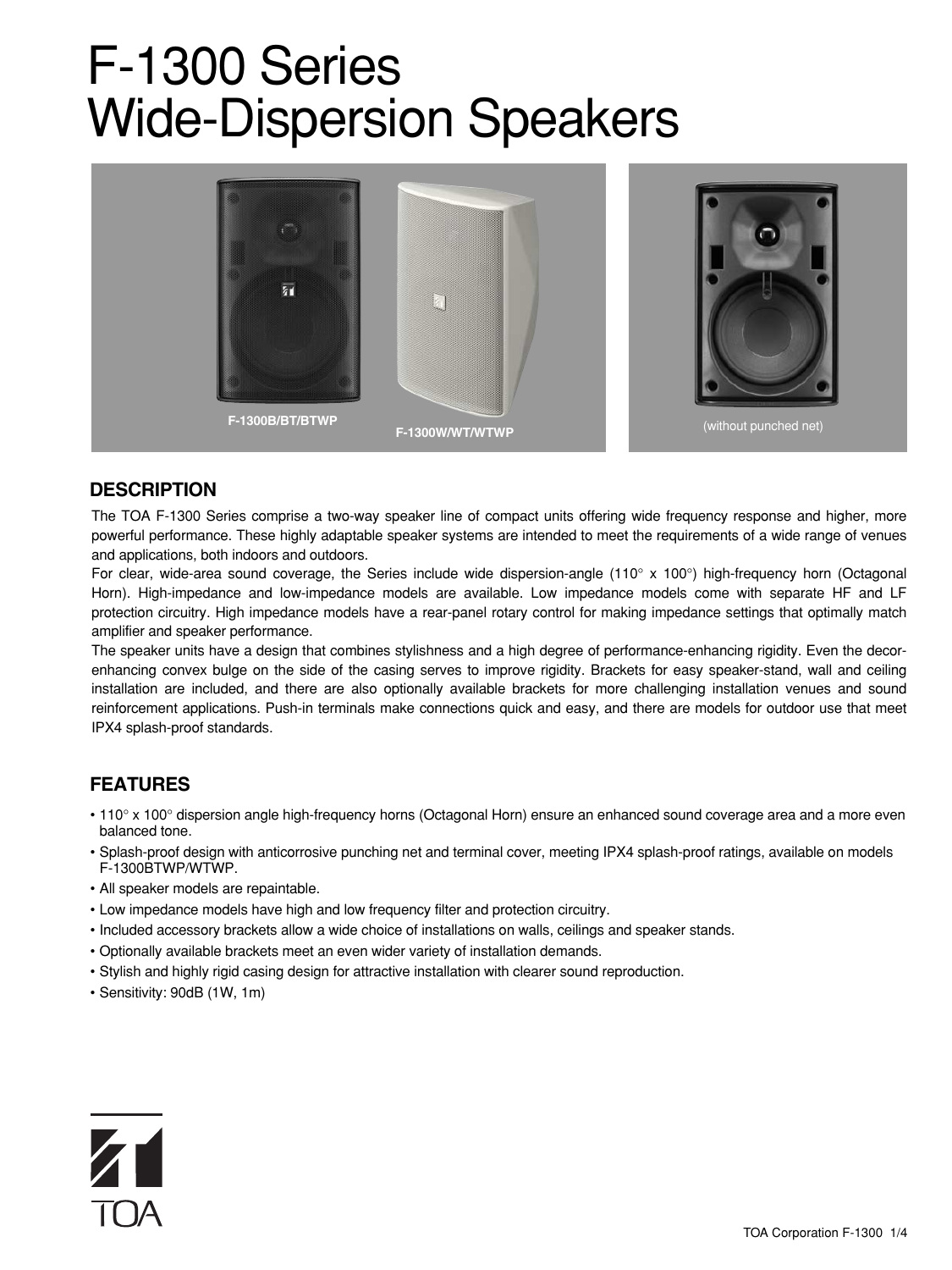# F-1300 Series Wide-Dispersion Speakers



## **DESCRIPTION**

The TOA F-1300 Series comprise a two-way speaker line of compact units offering wide frequency response and higher, more powerful performance. These highly adaptable speaker systems are intended to meet the requirements of a wide range of venues and applications, both indoors and outdoors.

For clear, wide-area sound coverage, the Series include wide dispersion-angle (110° x 100°) high-frequency horn (Octagonal Horn). High-impedance and low-impedance models are available. Low impedance models come with separate HF and LF protection circuitry. High impedance models have a rear-panel rotary control for making impedance settings that optimally match amplifier and speaker performance.

The speaker units have a design that combines stylishness and a high degree of performance-enhancing rigidity. Even the decorenhancing convex bulge on the side of the casing serves to improve rigidity. Brackets for easy speaker-stand, wall and ceiling installation are included, and there are also optionally available brackets for more challenging installation venues and sound reinforcement applications. Push-in terminals make connections quick and easy, and there are models for outdoor use that meet IPX4 splash-proof standards.

## **FEATURES**

- 110° x 100° dispersion angle high-frequency horns (Octagonal Horn) ensure an enhanced sound coverage area and a more even balanced tone.
- Splash-proof design with anticorrosive punching net and terminal cover, meeting IPX4 splash-proof ratings, available on models F-1300BTWP/WTWP.
- All speaker models are repaintable.
- Low impedance models have high and low frequency filter and protection circuitry.
- Included accessory brackets allow a wide choice of installations on walls, ceilings and speaker stands.
- Optionally available brackets meet an even wider variety of installation demands.
- Stylish and highly rigid casing design for attractive installation with clearer sound reproduction.
- Sensitivity: 90dB (1W, 1m)

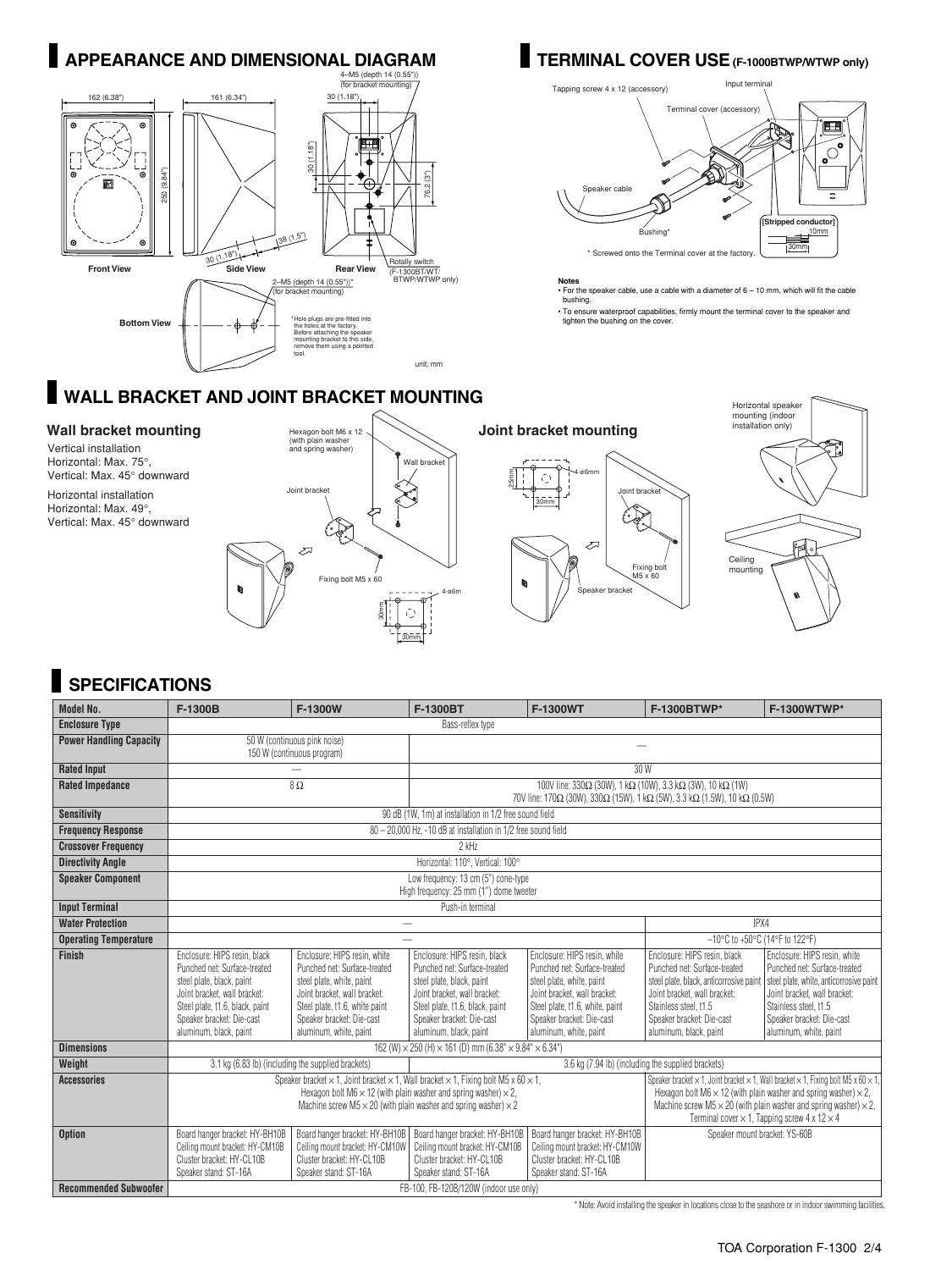

## **WALL BRACKET AND JOINT BRACKET MOUNTING**

Vertical installation Horizontal: Max. 75°, Vertical: Max. 45° downward Horizontal installation

Horizontal: Max. 49°, Vertical: Max. 45° downward







## **SPECIFICATIONS**

| <b>Model No.</b>               | F-1300B                                                                                                                                                                                                                                                                          | F-1300W                                                                                                                                                                                                            | F-1300BT                                                                                                                                                                                                            | F-1300WT                                                                                                                                                                                                                                                                                                                                        | F-1300BTWP*                                                                                                                                                                                                             | F-1300WTWP*                                                                                                                                                                                                             |
|--------------------------------|----------------------------------------------------------------------------------------------------------------------------------------------------------------------------------------------------------------------------------------------------------------------------------|--------------------------------------------------------------------------------------------------------------------------------------------------------------------------------------------------------------------|---------------------------------------------------------------------------------------------------------------------------------------------------------------------------------------------------------------------|-------------------------------------------------------------------------------------------------------------------------------------------------------------------------------------------------------------------------------------------------------------------------------------------------------------------------------------------------|-------------------------------------------------------------------------------------------------------------------------------------------------------------------------------------------------------------------------|-------------------------------------------------------------------------------------------------------------------------------------------------------------------------------------------------------------------------|
| <b>Enclosure Type</b>          | Bass-reflex type                                                                                                                                                                                                                                                                 |                                                                                                                                                                                                                    |                                                                                                                                                                                                                     |                                                                                                                                                                                                                                                                                                                                                 |                                                                                                                                                                                                                         |                                                                                                                                                                                                                         |
| <b>Power Handling Capacity</b> | 50 W (continuous pink noise)<br>150 W (continuous program)                                                                                                                                                                                                                       |                                                                                                                                                                                                                    |                                                                                                                                                                                                                     |                                                                                                                                                                                                                                                                                                                                                 |                                                                                                                                                                                                                         |                                                                                                                                                                                                                         |
| <b>Rated Input</b>             |                                                                                                                                                                                                                                                                                  |                                                                                                                                                                                                                    | 30 W                                                                                                                                                                                                                |                                                                                                                                                                                                                                                                                                                                                 |                                                                                                                                                                                                                         |                                                                                                                                                                                                                         |
| <b>Rated Impedance</b>         |                                                                                                                                                                                                                                                                                  | $8\,\Omega$                                                                                                                                                                                                        | 100V line: $330\Omega$ (30W), 1 k $\Omega$ (10W), 3.3 k $\Omega$ (3W), 10 k $\Omega$ (1W)<br>70V line: 170Ω (30W), 330Ω (15W), 1 kΩ (5W), 3.3 kΩ (1.5W), 10 kΩ (0.5W)                                               |                                                                                                                                                                                                                                                                                                                                                 |                                                                                                                                                                                                                         |                                                                                                                                                                                                                         |
| <b>Sensitivity</b>             | 90 dB (1W, 1m) at installation in 1/2 free sound field                                                                                                                                                                                                                           |                                                                                                                                                                                                                    |                                                                                                                                                                                                                     |                                                                                                                                                                                                                                                                                                                                                 |                                                                                                                                                                                                                         |                                                                                                                                                                                                                         |
| <b>Frequency Response</b>      | $80 - 20,000$ Hz, -10 dB at installation in 1/2 free sound field                                                                                                                                                                                                                 |                                                                                                                                                                                                                    |                                                                                                                                                                                                                     |                                                                                                                                                                                                                                                                                                                                                 |                                                                                                                                                                                                                         |                                                                                                                                                                                                                         |
| <b>Crossover Frequency</b>     | $2$ kHz                                                                                                                                                                                                                                                                          |                                                                                                                                                                                                                    |                                                                                                                                                                                                                     |                                                                                                                                                                                                                                                                                                                                                 |                                                                                                                                                                                                                         |                                                                                                                                                                                                                         |
| <b>Directivity Angle</b>       | Horizontal: 110°, Vertical: 100°                                                                                                                                                                                                                                                 |                                                                                                                                                                                                                    |                                                                                                                                                                                                                     |                                                                                                                                                                                                                                                                                                                                                 |                                                                                                                                                                                                                         |                                                                                                                                                                                                                         |
| <b>Speaker Component</b>       | Low frequency: 13 cm (5") cone-type<br>High frequency: 25 mm (1") dome tweeter                                                                                                                                                                                                   |                                                                                                                                                                                                                    |                                                                                                                                                                                                                     |                                                                                                                                                                                                                                                                                                                                                 |                                                                                                                                                                                                                         |                                                                                                                                                                                                                         |
| <b>Input Terminal</b>          | Push-in terminal                                                                                                                                                                                                                                                                 |                                                                                                                                                                                                                    |                                                                                                                                                                                                                     |                                                                                                                                                                                                                                                                                                                                                 |                                                                                                                                                                                                                         |                                                                                                                                                                                                                         |
| <b>Water Protection</b>        |                                                                                                                                                                                                                                                                                  |                                                                                                                                                                                                                    |                                                                                                                                                                                                                     |                                                                                                                                                                                                                                                                                                                                                 | IPX4                                                                                                                                                                                                                    |                                                                                                                                                                                                                         |
| <b>Operating Temperature</b>   |                                                                                                                                                                                                                                                                                  |                                                                                                                                                                                                                    |                                                                                                                                                                                                                     |                                                                                                                                                                                                                                                                                                                                                 | -10°C to +50°C (14°F to 122°F)                                                                                                                                                                                          |                                                                                                                                                                                                                         |
| <b>Finish</b>                  | Enclosure: HIPS resin, black<br>Punched net: Surface-treated<br>steel plate, black, paint<br>Joint bracket, wall bracket:<br>Steel plate, t1.6, black, paint<br>Speaker bracket: Die-cast<br>aluminum, black, paint                                                              | Enclosure: HIPS resin, white<br>Punched net: Surface-treated<br>steel plate, white, paint<br>Joint bracket, wall bracket:<br>Steel plate, t1.6, white paint<br>Speaker bracket: Die-cast<br>aluminum, white, paint | Enclosure: HIPS resin, black<br>Punched net: Surface-treated<br>steel plate, black, paint<br>Joint bracket, wall bracket:<br>Steel plate, t1.6, black, paint<br>Speaker bracket: Die-cast<br>aluminum, black, paint | Enclosure: HIPS resin, white<br>Punched net: Surface-treated<br>steel plate, white, paint<br>Joint bracket, wall bracket:<br>Steel plate, t1.6, white, paint<br>Speaker bracket: Die-cast<br>aluminum, white, paint                                                                                                                             | Enclosure: HIPS resin, black<br>Punched net: Surface-treated<br>steel plate, black, anticorrosive paint<br>Joint bracket, wall bracket:<br>Stainless steel, t1.5<br>Speaker bracket: Die-cast<br>aluminum, black, paint | Enclosure: HIPS resin, white<br>Punched net: Surface-treated<br>steel plate, white, anticorrosive paint<br>Joint bracket, wall bracket:<br>Stainless steel, t1.5<br>Speaker bracket: Die-cast<br>aluminum, white, paint |
| <b>Dimensions</b>              | 162 (W) $\times$ 250 (H) $\times$ 161 (D) mm (6.38" $\times$ 9.84" $\times$ 6.34")                                                                                                                                                                                               |                                                                                                                                                                                                                    |                                                                                                                                                                                                                     |                                                                                                                                                                                                                                                                                                                                                 |                                                                                                                                                                                                                         |                                                                                                                                                                                                                         |
| Weight                         | 3.1 kg (6.83 lb) (including the supplied brackets)<br>3.6 kg (7.94 lb) (including the supplied brackets)                                                                                                                                                                         |                                                                                                                                                                                                                    |                                                                                                                                                                                                                     |                                                                                                                                                                                                                                                                                                                                                 |                                                                                                                                                                                                                         |                                                                                                                                                                                                                         |
| <b>Accessories</b>             | Speaker bracket $\times$ 1, Joint bracket $\times$ 1, Wall bracket $\times$ 1, Fixing bolt M5 x 60 $\times$ 1,<br>Hexagon bolt M6 $\times$ 12 (with plain washer and spring washer) $\times$ 2.<br>Machine screw M5 $\times$ 20 (with plain washer and spring washer) $\times$ 2 |                                                                                                                                                                                                                    |                                                                                                                                                                                                                     | Speaker bracket $\times$ 1, Joint bracket $\times$ 1, Wall bracket $\times$ 1, Fixing bolt M5 x 60 $\times$ 1,<br>Hexagon bolt M6 $\times$ 12 (with plain washer and spring washer) $\times$ 2.<br>Machine screw M5 $\times$ 20 (with plain washer and spring washer) $\times$ 2,<br>Terminal cover $\times$ 1, Tapping screw 4 x 12 $\times$ 4 |                                                                                                                                                                                                                         |                                                                                                                                                                                                                         |
| <b>Option</b>                  | Board hanger bracket: HY-BH10B<br>Ceiling mount bracket: HY-CM10B<br>Cluster bracket: HY-CL10B<br>Speaker stand: ST-16A                                                                                                                                                          | Board hanger bracket: HY-BH10B<br>Ceiling mount bracket: HY-CM10W<br>Cluster bracket: HY-CL10B<br>Speaker stand: ST-16A                                                                                            | Board hanger bracket: HY-BH10B<br>Ceiling mount bracket: HY-CM10B<br>Cluster bracket: HY-CL10B<br>Speaker stand: ST-16A                                                                                             | Board hanger bracket: HY-BH10B<br>Ceiling mount bracket: HY-CM10W<br>Cluster bracket: HY-CL10B<br>Speaker stand: ST-16A                                                                                                                                                                                                                         | Speaker mount bracket: YS-60B                                                                                                                                                                                           |                                                                                                                                                                                                                         |
| <b>Recommended Subwoofer</b>   | FB-100, FB-120B/120W (indoor use only)                                                                                                                                                                                                                                           |                                                                                                                                                                                                                    |                                                                                                                                                                                                                     |                                                                                                                                                                                                                                                                                                                                                 |                                                                                                                                                                                                                         |                                                                                                                                                                                                                         |

\* Note: Avoid installing the speaker in locations close to the seashore or in indoor swimming facilities.

Tapping screw 4 x 12 (accessory)



**Notes** • For the speaker cable, use a cable with a diameter of 6 – 10 mm, which will fit the cable bushing.

• To ensure waterproof capabilities, firmly mount the terminal cover to the speaker and tighten the bushing on the cover.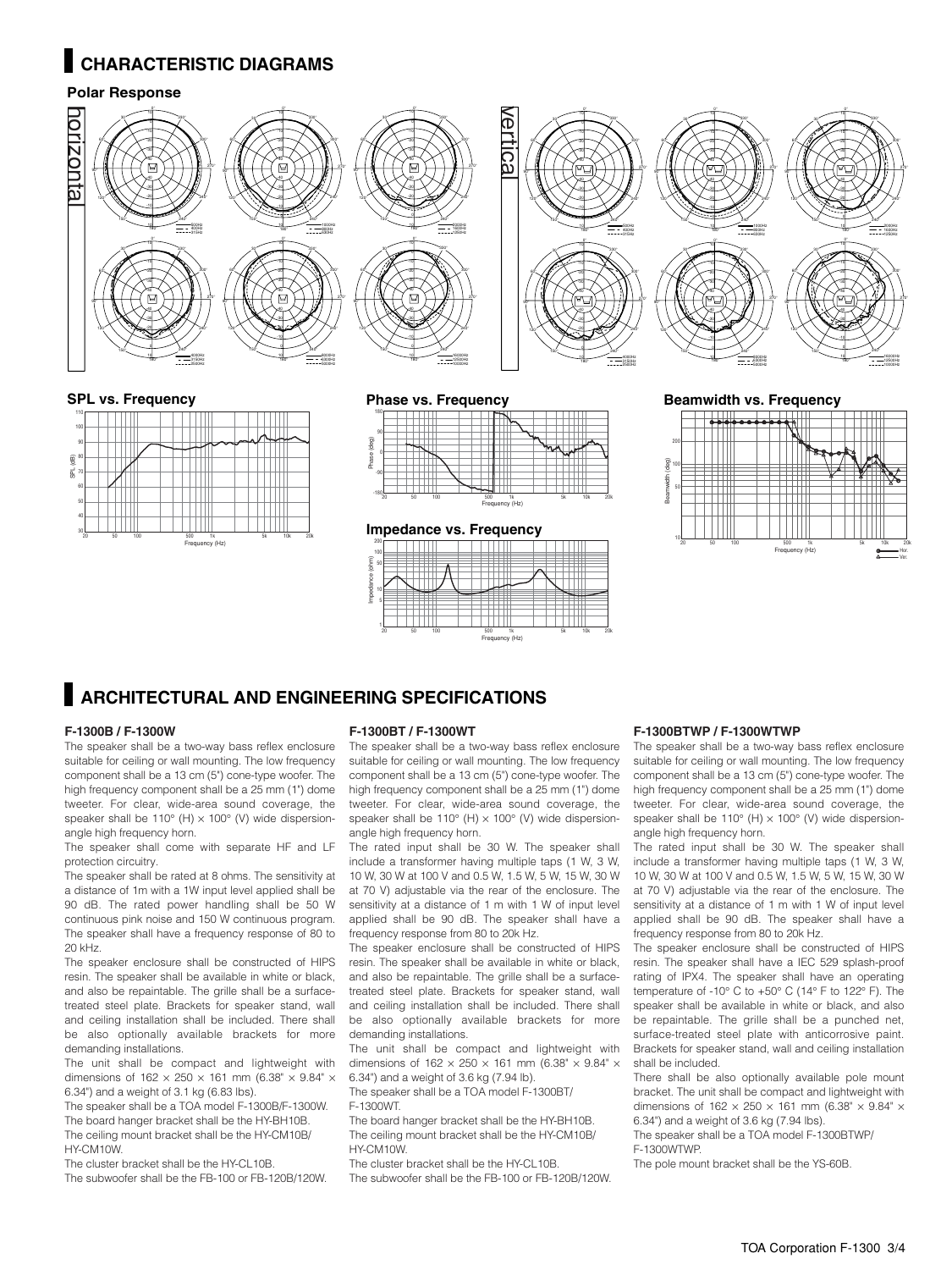## **CHARACTERISTIC DIAGRAMS**

#### **Polar Response**



#### **SPL vs. Frequency**



#### **Phase vs. Frequency**



Frequency (Hz)

### **Impedance vs. Frequency**



#### **Beamwidth vs. Frequency**



## **ARCHITECTURAL AND ENGINEERING SPECIFICATIONS**

#### **F-1300B / F-1300W**

The speaker shall be a two-way bass reflex enclosure suitable for ceiling or wall mounting. The low frequency component shall be a 13 cm (5") cone-type woofer. The high frequency component shall be a 25 mm (1") dome tweeter. For clear, wide-area sound coverage, the speaker shall be  $110^{\circ}$  (H)  $\times$  100 $^{\circ}$  (V) wide dispersionangle high frequency horn.

The speaker shall come with separate HF and LF protection circuitry.

The speaker shall be rated at 8 ohms. The sensitivity at a distance of 1m with a 1W input level applied shall be 90 dB. The rated power handling shall be 50 W continuous pink noise and 150 W continuous program. The speaker shall have a frequency response of 80 to 20 kHz.

The speaker enclosure shall be constructed of HIPS resin. The speaker shall be available in white or black, and also be repaintable. The grille shall be a surfacetreated steel plate. Brackets for speaker stand, wall and ceiling installation shall be included. There shall be also optionally available brackets for more demanding installations.

The unit shall be compact and lightweight with dimensions of  $162 \times 250 \times 161$  mm (6.38"  $\times$  9.84"  $\times$ 6.34") and a weight of 3.1 kg (6.83 lbs).

The speaker shall be a TOA model F-1300B/F-1300W. The board hanger bracket shall be the HY-BH10B.

The ceiling mount bracket shall be the HY-CM10B/ HY-CM10W. The cluster bracket shall be the HY-CL10B.

The subwoofer shall be the FB-100 or FB-120B/120W.

#### **F-1300BT / F-1300WT**

The speaker shall be a two-way bass reflex enclosure suitable for ceiling or wall mounting. The low frequency component shall be a 13 cm (5") cone-type woofer. The high frequency component shall be a 25 mm (1") dome tweeter. For clear, wide-area sound coverage, the speaker shall be  $110^{\circ}$  (H)  $\times$  100 $^{\circ}$  (V) wide dispersionangle high frequency horn.

The rated input shall be 30 W. The speaker shall include a transformer having multiple taps (1 W, 3 W, 10 W, 30 W at 100 V and 0.5 W, 1.5 W, 5 W, 15 W, 30 W at 70 V) adjustable via the rear of the enclosure. The sensitivity at a distance of 1 m with 1 W of input level applied shall be 90 dB. The speaker shall have a frequency response from 80 to 20k Hz.

The speaker enclosure shall be constructed of HIPS resin. The speaker shall be available in white or black, and also be repaintable. The grille shall be a surfacetreated steel plate. Brackets for speaker stand, wall and ceiling installation shall be included. There shall be also optionally available brackets for more demanding installations.

The unit shall be compact and lightweight with dimensions of  $162 \times 250 \times 161$  mm (6.38"  $\times$  9.84"  $\times$ 

6.34") and a weight of 3.6 kg (7.94 lb). The speaker shall be a TOA model F-1300BT/ F-1300WT.

The board hanger bracket shall be the HY-BH10B. The ceiling mount bracket shall be the HY-CM10B/ HY-CM10W.

The cluster bracket shall be the HY-CL10B. The subwoofer shall be the FB-100 or FB-120B/120W.

#### **F-1300BTWP / F-1300WTWP**

The speaker shall be a two-way bass reflex enclosure suitable for ceiling or wall mounting. The low frequency component shall be a 13 cm (5") cone-type woofer. The high frequency component shall be a 25 mm (1") dome tweeter. For clear, wide-area sound coverage, the speaker shall be 110 $^{\circ}$  (H)  $\times$  100 $^{\circ}$  (V) wide dispersionangle high frequency horn.

The rated input shall be 30 W. The speaker shall include a transformer having multiple taps (1 W, 3 W, 10 W, 30 W at 100 V and 0.5 W, 1.5 W, 5 W, 15 W, 30 W at 70 V) adjustable via the rear of the enclosure. The sensitivity at a distance of 1 m with 1 W of input level applied shall be 90 dB. The speaker shall have a frequency response from 80 to 20k Hz.

The speaker enclosure shall be constructed of HIPS resin. The speaker shall have a IEC 529 splash-proof rating of IPX4. The speaker shall have an operating temperature of -10° C to +50° C (14° F to 122° F). The speaker shall be available in white or black, and also be repaintable. The grille shall be a punched net, surface-treated steel plate with anticorrosive paint. Brackets for speaker stand, wall and ceiling installation shall be included.

There shall be also optionally available pole mount bracket. The unit shall be compact and lightweight with dimensions of  $162 \times 250 \times 161$  mm (6.38"  $\times$  9.84"  $\times$ 6.34") and a weight of 3.6 kg (7.94 lbs).

The speaker shall be a TOA model F-1300BTWP/ F-1300WTWP.

The pole mount bracket shall be the YS-60B.